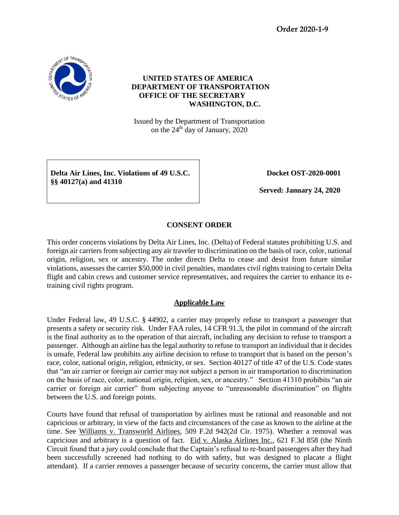**Order 2020-1-9**



# **UNITED STATES OF AMERICA DEPARTMENT OF TRANSPORTATION OFFICE OF THE SECRETARY WASHINGTON, D.C.**

Issued by the Department of Transportation on the 24<sup>th</sup> day of January, 2020

**Delta Air Lines, Inc. Violations of 49 U.S.C. §§ 40127(a) and 41310**

 **Docket OST-2020-0001**

 **Served: January 24, 2020**

# **CONSENT ORDER**

This order concerns violations by Delta Air Lines, Inc. (Delta) of Federal statutes prohibiting U.S. and foreign air carriers from subjecting any air traveler to discrimination on the basis of race, color, national origin, religion, sex or ancestry. The order directs Delta to cease and desist from future similar violations, assesses the carrier \$50,000 in civil penalties, mandates civil rights training to certain Delta flight and cabin crews and customer service representatives, and requires the carrier to enhance its etraining civil rights program.

## **Applicable Law**

Under Federal law, 49 U.S.C. § 44902, a carrier may properly refuse to transport a passenger that presents a safety or security risk. Under FAA rules, 14 CFR 91.3, the pilot in command of the aircraft is the final authority as to the operation of that aircraft, including any decision to refuse to transport a passenger. Although an airline has the legal authority to refuse to transport an individual that it decides is unsafe, Federal law prohibits any airline decision to refuse to transport that is based on the person's race, color, national origin, religion, ethnicity, or sex. Section 40127 of title 47 of the U.S. Code states that "an air carrier or foreign air carrier may not subject a person in air transportation to discrimination on the basis of race, color, national origin, religion, sex, or ancestry." Section 41310 prohibits "an air carrier or foreign air carrier" from subjecting anyone to "unreasonable discrimination" on flights between the U.S. and foreign points.

Courts have found that refusal of transportation by airlines must be rational and reasonable and not capricious or arbitrary, in view of the facts and circumstances of the case as known to the airline at the time. See Williams v. Transworld Airlines, 509 F.2d 942(2d Cir. 1975). Whether a removal was capricious and arbitrary is a question of fact. Eid v. Alaska Airlines Inc., 621 F.3d 858 (the Ninth Circuit found that a jury could conclude that the Captain's refusal to re-board passengers after they had been successfully screened had nothing to do with safety, but was designed to placate a flight attendant). If a carrier removes a passenger because of security concerns, the carrier must allow that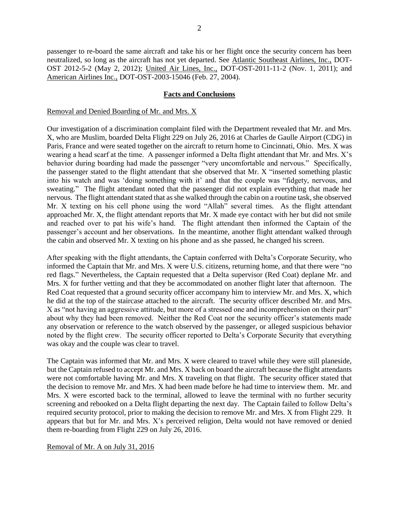passenger to re-board the same aircraft and take his or her flight once the security concern has been neutralized, so long as the aircraft has not yet departed. See Atlantic Southeast Airlines, Inc., DOT-OST 2012-5-2 (May 2, 2012); United Air Lines, Inc., DOT-OST-2011-11-2 (Nov. 1, 2011); and American Airlines Inc., DOT-OST-2003-15046 (Feb. 27, 2004).

## **Facts and Conclusions**

#### Removal and Denied Boarding of Mr. and Mrs. X

Our investigation of a discrimination complaint filed with the Department revealed that Mr. and Mrs. X, who are Muslim, boarded Delta Flight 229 on July 26, 2016 at Charles de Gaulle Airport (CDG) in Paris, France and were seated together on the aircraft to return home to Cincinnati, Ohio. Mrs. X was wearing a head scarf at the time. A passenger informed a Delta flight attendant that Mr. and Mrs. X's behavior during boarding had made the passenger "very uncomfortable and nervous." Specifically, the passenger stated to the flight attendant that she observed that Mr. X "inserted something plastic into his watch and was 'doing something with it' and that the couple was "fidgety, nervous, and sweating." The flight attendant noted that the passenger did not explain everything that made her nervous. The flight attendant stated that as she walked through the cabin on a routine task, she observed Mr. X texting on his cell phone using the word "Allah" several times. As the flight attendant approached Mr. X, the flight attendant reports that Mr. X made eye contact with her but did not smile and reached over to pat his wife's hand. The flight attendant then informed the Captain of the passenger's account and her observations. In the meantime, another flight attendant walked through the cabin and observed Mr. X texting on his phone and as she passed, he changed his screen.

After speaking with the flight attendants, the Captain conferred with Delta's Corporate Security, who informed the Captain that Mr. and Mrs. X were U.S. citizens, returning home, and that there were "no red flags." Nevertheless, the Captain requested that a Delta supervisor (Red Coat) deplane Mr. and Mrs. X for further vetting and that they be accommodated on another flight later that afternoon. The Red Coat requested that a ground security officer accompany him to interview Mr. and Mrs. X, which he did at the top of the staircase attached to the aircraft. The security officer described Mr. and Mrs. X as "not having an aggressive attitude, but more of a stressed one and incomprehension on their part" about why they had been removed. Neither the Red Coat nor the security officer's statements made any observation or reference to the watch observed by the passenger, or alleged suspicious behavior noted by the flight crew. The security officer reported to Delta's Corporate Security that everything was okay and the couple was clear to travel.

The Captain was informed that Mr. and Mrs. X were cleared to travel while they were still planeside, but the Captain refused to accept Mr. and Mrs. X back on board the aircraft because the flight attendants were not comfortable having Mr. and Mrs. X traveling on that flight. The security officer stated that the decision to remove Mr. and Mrs. X had been made before he had time to interview them. Mr. and Mrs. X were escorted back to the terminal, allowed to leave the terminal with no further security screening and rebooked on a Delta flight departing the next day. The Captain failed to follow Delta's required security protocol, prior to making the decision to remove Mr. and Mrs. X from Flight 229. It appears that but for Mr. and Mrs. X's perceived religion, Delta would not have removed or denied them re-boarding from Flight 229 on July 26, 2016.

## Removal of Mr. A on July 31, 2016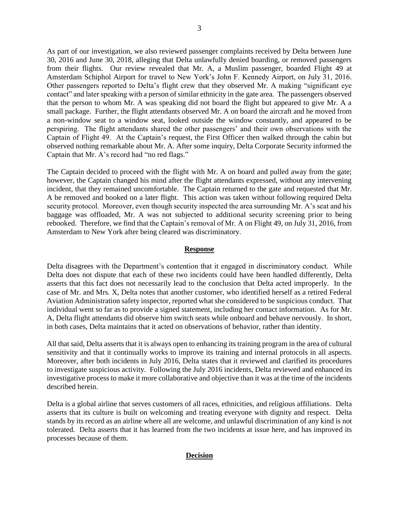As part of our investigation, we also reviewed passenger complaints received by Delta between June 30, 2016 and June 30, 2018, alleging that Delta unlawfully denied boarding, or removed passengers from their flights. Our review revealed that Mr. A, a Muslim passenger, boarded Flight 49 at Amsterdam Schiphol Airport for travel to New York's John F. Kennedy Airport, on July 31, 2016. Other passengers reported to Delta's flight crew that they observed Mr. A making "significant eye contact" and later speaking with a person of similar ethnicity in the gate area. The passengers observed that the person to whom Mr. A was speaking did not board the flight but appeared to give Mr. A a small package. Further, the flight attendants observed Mr. A on board the aircraft and he moved from a non-window seat to a window seat, looked outside the window constantly, and appeared to be perspiring. The flight attendants shared the other passengers' and their own observations with the Captain of Flight 49. At the Captain's request, the First Officer then walked through the cabin but observed nothing remarkable about Mr. A. After some inquiry, Delta Corporate Security informed the Captain that Mr. A's record had "no red flags."

The Captain decided to proceed with the flight with Mr. A on board and pulled away from the gate; however, the Captain changed his mind after the flight attendants expressed, without any intervening incident, that they remained uncomfortable. The Captain returned to the gate and requested that Mr. A be removed and booked on a later flight. This action was taken without following required Delta security protocol. Moreover, even though security inspected the area surrounding Mr. A's seat and his baggage was offloaded, Mr. A was not subjected to additional security screening prior to being rebooked. Therefore, we find that the Captain's removal of Mr. A on Flight 49, on July 31, 2016, from Amsterdam to New York after being cleared was discriminatory.

#### **Response**

Delta disagrees with the Department's contention that it engaged in discriminatory conduct. While Delta does not dispute that each of these two incidents could have been handled differently, Delta asserts that this fact does not necessarily lead to the conclusion that Delta acted improperly. In the case of Mr. and Mrs. X, Delta notes that another customer, who identified herself as a retired Federal Aviation Administration safety inspector, reported what she considered to be suspicious conduct. That individual went so far as to provide a signed statement, including her contact information. As for Mr. A, Delta flight attendants did observe him switch seats while onboard and behave nervously. In short, in both cases, Delta maintains that it acted on observations of behavior, rather than identity.

All that said, Delta asserts that it is always open to enhancing its training program in the area of cultural sensitivity and that it continually works to improve its training and internal protocols in all aspects. Moreover, after both incidents in July 2016, Delta states that it reviewed and clarified its procedures to investigate suspicious activity. Following the July 2016 incidents, Delta reviewed and enhanced its investigative process to make it more collaborative and objective than it was at the time of the incidents described herein.

Delta is a global airline that serves customers of all races, ethnicities, and religious affiliations. Delta asserts that its culture is built on welcoming and treating everyone with dignity and respect. Delta stands by its record as an airline where all are welcome, and unlawful discrimination of any kind is not tolerated. Delta asserts that it has learned from the two incidents at issue here, and has improved its processes because of them.

## **Decision**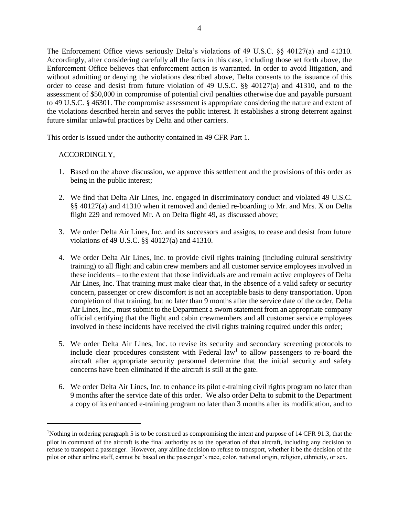The Enforcement Office views seriously Delta's violations of 49 U.S.C. §§ 40127(a) and 41310. Accordingly, after considering carefully all the facts in this case, including those set forth above, the Enforcement Office believes that enforcement action is warranted. In order to avoid litigation, and without admitting or denying the violations described above, Delta consents to the issuance of this order to cease and desist from future violation of 49 U.S.C. §§ 40127(a) and 41310, and to the assessment of \$50,000 in compromise of potential civil penalties otherwise due and payable pursuant to 49 U.S.C. § 46301. The compromise assessment is appropriate considering the nature and extent of the violations described herein and serves the public interest. It establishes a strong deterrent against future similar unlawful practices by Delta and other carriers.

This order is issued under the authority contained in 49 CFR Part 1.

## ACCORDINGLY,

l

- 1. Based on the above discussion, we approve this settlement and the provisions of this order as being in the public interest;
- 2. We find that Delta Air Lines, Inc. engaged in discriminatory conduct and violated 49 U.S.C. §§ 40127(a) and 41310 when it removed and denied re-boarding to Mr. and Mrs. X on Delta flight 229 and removed Mr. A on Delta flight 49, as discussed above;
- 3. We order Delta Air Lines, Inc. and its successors and assigns, to cease and desist from future violations of 49 U.S.C. §§ 40127(a) and 41310.
- 4. We order Delta Air Lines, Inc. to provide civil rights training (including cultural sensitivity training) to all flight and cabin crew members and all customer service employees involved in these incidents – to the extent that those individuals are and remain active employees of Delta Air Lines, Inc. That training must make clear that, in the absence of a valid safety or security concern, passenger or crew discomfort is not an acceptable basis to deny transportation. Upon completion of that training, but no later than 9 months after the service date of the order, Delta Air Lines, Inc., must submit to the Department a sworn statement from an appropriate company official certifying that the flight and cabin crewmembers and all customer service employees involved in these incidents have received the civil rights training required under this order;
- 5. We order Delta Air Lines, Inc. to revise its security and secondary screening protocols to include clear procedures consistent with Federal law<sup>1</sup> to allow passengers to re-board the aircraft after appropriate security personnel determine that the initial security and safety concerns have been eliminated if the aircraft is still at the gate.
- 6. We order Delta Air Lines, Inc. to enhance its pilot e-training civil rights program no later than 9 months after the service date of this order. We also order Delta to submit to the Department a copy of its enhanced e-training program no later than 3 months after its modification, and to

<sup>1</sup>Nothing in ordering paragraph 5 is to be construed as compromising the intent and purpose of 14 CFR 91.3, that the pilot in command of the aircraft is the final authority as to the operation of that aircraft, including any decision to refuse to transport a passenger. However, any airline decision to refuse to transport, whether it be the decision of the pilot or other airline staff, cannot be based on the passenger's race, color, national origin, religion, ethnicity, or sex.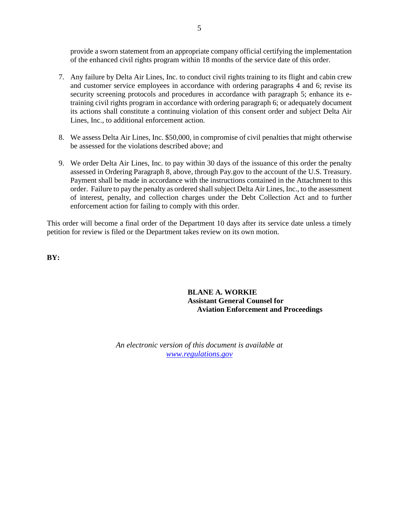provide a sworn statement from an appropriate company official certifying the implementation of the enhanced civil rights program within 18 months of the service date of this order.

- 7. Any failure by Delta Air Lines, Inc. to conduct civil rights training to its flight and cabin crew and customer service employees in accordance with ordering paragraphs 4 and 6; revise its security screening protocols and procedures in accordance with paragraph 5; enhance its etraining civil rights program in accordance with ordering paragraph 6; or adequately document its actions shall constitute a continuing violation of this consent order and subject Delta Air Lines, Inc., to additional enforcement action.
- 8. We assess Delta Air Lines, Inc. \$50,000, in compromise of civil penalties that might otherwise be assessed for the violations described above; and
- 9. We order Delta Air Lines, Inc. to pay within 30 days of the issuance of this order the penalty assessed in Ordering Paragraph 8, above, through Pay.gov to the account of the U.S. Treasury. Payment shall be made in accordance with the instructions contained in the Attachment to this order. Failure to pay the penalty as ordered shall subject Delta Air Lines, Inc., to the assessment of interest, penalty, and collection charges under the Debt Collection Act and to further enforcement action for failing to comply with this order.

This order will become a final order of the Department 10 days after its service date unless a timely petition for review is filed or the Department takes review on its own motion.

**BY:**

**BLANE A. WORKIE Assistant General Counsel for Aviation Enforcement and Proceedings**

*An electronic version of this document is available at [www.regulations.gov](http://www.regulations.gov/)*